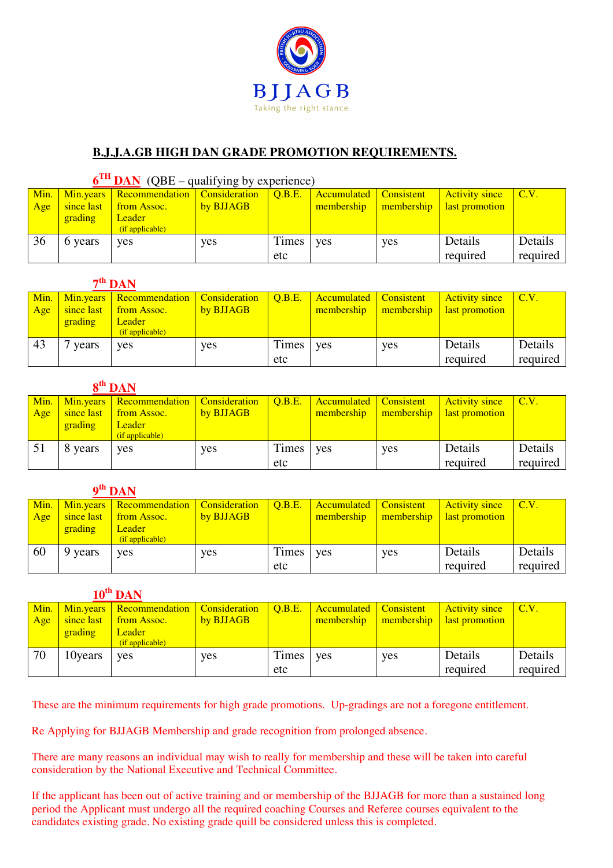

## **B.J.J.A.GB HIGH DAN GRADE PROMOTION REQUIREMENTS.**

| $6TH$ DAN (QBE – qualifying by experience) |         |                                                     |           |              |                        |            |                       |              |  |
|--------------------------------------------|---------|-----------------------------------------------------|-----------|--------------|------------------------|------------|-----------------------|--------------|--|
| Min.                                       |         | Min.years   Recommendation   Consideration   Q.B.E. |           |              | Accumulated Consistent |            | <b>Activity since</b> | $\vert$ C.V. |  |
| Age                                        |         | since last from Assoc.                              | by BJJAGB |              | membership             | membership | last promotion        |              |  |
|                                            | grading | <b>Leader</b>                                       |           |              |                        |            |                       |              |  |
|                                            |         | $(i$ f applicable)                                  |           |              |                        |            |                       |              |  |
| 36                                         | 6 years | yes                                                 | yes       | <b>Times</b> | ves                    | yes        | Details               | Details      |  |
|                                            |         |                                                     |           | etc          |                        |            | required              | required     |  |

| $7th$ DAN |         |                                            |           |        |                        |            |                       |          |
|-----------|---------|--------------------------------------------|-----------|--------|------------------------|------------|-----------------------|----------|
| Min.      |         | Min.years   Recommendation   Consideration |           | O.B.E. | Accumulated Consistent |            | <b>Activity since</b> | C.V.     |
| Age       |         | since last from Assoc.                     | by BJJAGB |        | membership             | membership | last promotion        |          |
|           | grading | Leader/                                    |           |        |                        |            |                       |          |
|           |         | $(i$ f applicable)                         |           |        |                        |            |                       |          |
| 43        | years   | <b>ves</b>                                 | yes       | Times  | ves                    | yes        | Details               | Details  |
|           |         |                                            |           | etc    |                        |            | required              | required |

## **8 th DAN**

|     |         | Min.   Min.years   Recommendation   Consideration |            | $\overline{O.B.E.}$ | <b>Accumulated Consistent</b> |            | <b>Activity since</b> | CLV.     |
|-----|---------|---------------------------------------------------|------------|---------------------|-------------------------------|------------|-----------------------|----------|
| Age |         | since last from Assoc.                            | by BJJAGB  |                     | membership                    | membership | last promotion        |          |
|     | grading | <b>Leader</b>                                     |            |                     |                               |            |                       |          |
|     |         | (if applicable)                                   |            |                     |                               |            |                       |          |
| -51 | 8 years | <b>ves</b>                                        | <b>ves</b> | <b>Times</b>        | <b>ves</b>                    | yes        | Details               | Details  |
|     |         |                                                   |            | etc                 |                               |            | required              | required |

## **9 th DAN**

| Min. |            | Min.years   Recommendation   Consideration |            | $\overline{Q.B.E.}$ | Accumulated   Consistent |            | <b>Activity since</b> | CLV.     |
|------|------------|--------------------------------------------|------------|---------------------|--------------------------|------------|-----------------------|----------|
| Age  | since last | from Assoc.                                | by BJJAGB  |                     | membership               | membership | last promotion        |          |
|      | grading    | <b>Leader</b>                              |            |                     |                          |            |                       |          |
|      |            | (if applicable)                            |            |                     |                          |            |                       |          |
| 60   | 9 years    | <b>ves</b>                                 | <b>ves</b> | Times               | ves                      | yes        | Details               | Details  |
|      |            |                                            |            | etc                 |                          |            | required              | required |

| $10^{\text{th}}$ DAN |            |                            |                      |        |             |            |                       |                           |
|----------------------|------------|----------------------------|----------------------|--------|-------------|------------|-----------------------|---------------------------|
| Min.                 |            | Min.years   Recommendation | <b>Consideration</b> | Q.B.E. | Accumulated | Consistent | <b>Activity since</b> | $\mathsf{C}.\mathsf{V}$ . |
| Age                  | since last | from Assoc.                | by BJJAGB            |        | membership  | membership | last promotion        |                           |
|                      | grading    | <b>Leader</b>              |                      |        |             |            |                       |                           |
|                      |            | (if applicable)            |                      |        |             |            |                       |                           |
| 70                   | 10 years   | yes                        | yes                  | Times  | ves         | yes        | Details               | Details                   |
|                      |            |                            |                      | etc    |             |            | required              | required                  |

These are the minimum requirements for high grade promotions. Up-gradings are not a foregone entitlement.

Re Applying for BJJAGB Membership and grade recognition from prolonged absence.

There are many reasons an individual may wish to really for membership and these will be taken into careful consideration by the National Executive and Technical Committee.

If the applicant has been out of active training and or membership of the BJJAGB for more than a sustained long period the Applicant must undergo all the required coaching Courses and Referee courses equivalent to the candidates existing grade. No existing grade quill be considered unless this is completed.